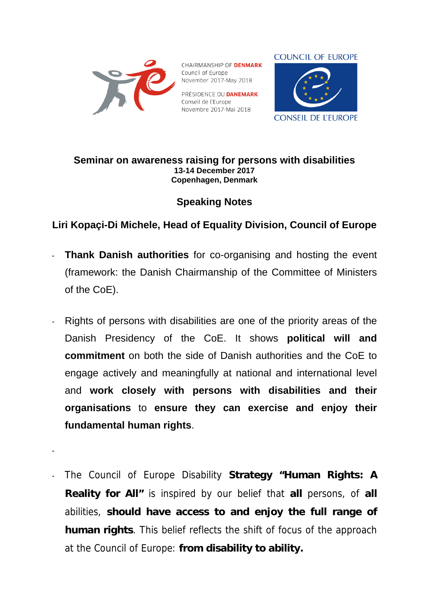

-

CHAIRMANSHIP OF **DENMARK** Council of Europe November 2017-May 2018

PRÉSIDENCE DU **DANEMARK** Conseil de l'Europe Novembre 2017-Mai 2018



## **Seminar on awareness raising for persons with disabilities 13-14 December 2017 Copenhagen, Denmark**

## **Speaking Notes**

## **Liri Kopaçi-Di Michele, Head of Equality Division, Council of Europe**

- **Thank Danish authorities** for co-organising and hosting the event (framework: the Danish Chairmanship of the Committee of Ministers of the CoE).
- Rights of persons with disabilities are one of the priority areas of the Danish Presidency of the CoE. It shows **political will and commitment** on both the side of Danish authorities and the CoE to engage actively and meaningfully at national and international level and **work closely with persons with disabilities and their organisations** to **ensure they can exercise and enjoy their fundamental human rights**.
- The Council of Europe Disability **Strategy "Human Rights: A Reality for All"** is inspired by our belief that **all** persons, of **all** abilities, **should have access to and enjoy the full range of human rights**. This belief reflects the shift of focus of the approach at the Council of Europe: **from disability to ability.**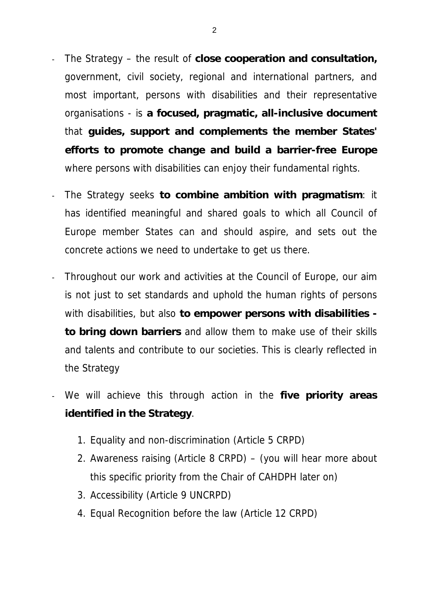- The Strategy the result of **close cooperation and consultation,**  government, civil society, regional and international partners, and most important, persons with disabilities and their representative organisations - is **a focused, pragmatic, all-inclusive document** that **guides, support and complements the member States' efforts to promote change and build a barrier-free Europe** where persons with disabilities can enjoy their fundamental rights.
- The Strategy seeks **to combine ambition with pragmatism**: it has identified meaningful and shared goals to which all Council of Europe member States can and should aspire, and sets out the concrete actions we need to undertake to get us there.
- Throughout our work and activities at the Council of Europe, our aim is not just to set standards and uphold the human rights of persons with disabilities, but also **to empower persons with disabilities to bring down barriers** and allow them to make use of their skills and talents and contribute to our societies. This is clearly reflected in the Strategy
- We will achieve this through action in the **five priority areas identified in the Strategy**.
	- 1. Equality and non-discrimination (Article 5 CRPD)
	- 2. Awareness raising (Article 8 CRPD) (you will hear more about this specific priority from the Chair of CAHDPH later on)
	- 3. Accessibility (Article 9 UNCRPD)
	- 4. Equal Recognition before the law (Article 12 CRPD)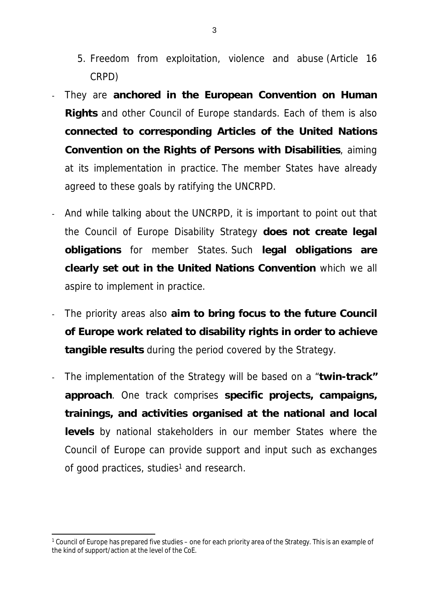- 5. Freedom from exploitation, violence and abuse (Article 16 CRPD)
- They are **anchored in the European Convention on Human Rights** and other Council of Europe standards. Each of them is also **connected to corresponding Articles of the United Nations Convention on the Rights of Persons with Disabilities**, aiming at its implementation in practice. The member States have already agreed to these goals by ratifying the UNCRPD.
- And while talking about the UNCRPD, it is important to point out that the Council of Europe Disability Strategy **does not create legal obligations** for member States. Such **legal obligations are clearly set out in the United Nations Convention** which we all aspire to implement in practice.
- The priority areas also **aim to bring focus to the future Council of Europe work related to disability rights in order to achieve tangible results** during the period covered by the Strategy.
- The implementation of the Strategy will be based on a "**twin-track" approach**. One track comprises **specific projects, campaigns, trainings, and activities organised at the national and local levels** by national stakeholders in our member States where the Council of Europe can provide support and input such as exchanges of good practices, studies<sup>1</sup> and research.

<sup>1</sup> Council of Europe has prepared five studies – one for each priority area of the Strategy. This is an example of the kind of support/action at the level of the CoE.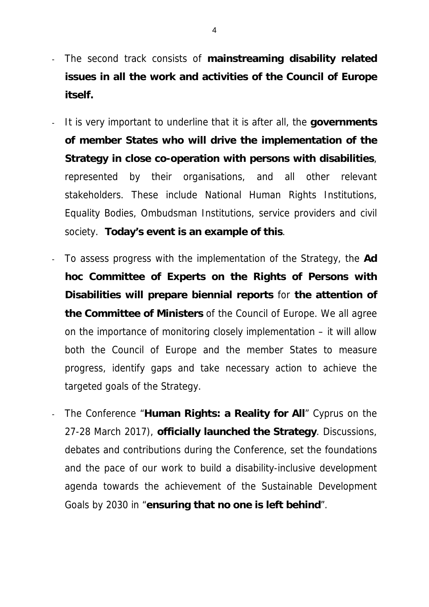- The second track consists of **mainstreaming disability related issues in all the work and activities of the Council of Europe itself.**
- It is very important to underline that it is after all, the **governments of member States who will drive the implementation of the Strategy in close co-operation with persons with disabilities**, represented by their organisations, and all other relevant stakeholders. These include National Human Rights Institutions, Equality Bodies, Ombudsman Institutions, service providers and civil society. **Today's event is an example of this**.
- To assess progress with the implementation of the Strategy, the **Ad hoc Committee of Experts on the Rights of Persons with Disabilities will prepare biennial reports** for **the attention of the Committee of Ministers** of the Council of Europe. We all agree on the importance of monitoring closely implementation – it will allow both the Council of Europe and the member States to measure progress, identify gaps and take necessary action to achieve the targeted goals of the Strategy.
- The Conference "**Human Rights: a Reality for All**" Cyprus on the 27-28 March 2017), **officially launched the Strategy**. Discussions, debates and contributions during the Conference, set the foundations and the pace of our work to build a disability-inclusive development agenda towards the achievement of the Sustainable Development Goals by 2030 in "**ensuring that no one is left behind**".